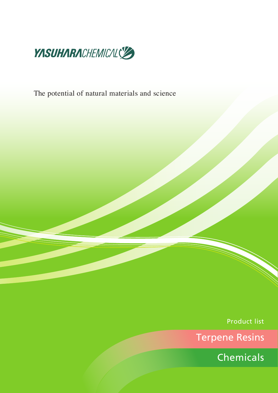

The potential of natural materials and science

Product list

Terpene Resins

Chemicals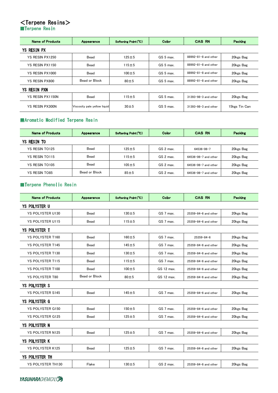# **<Terpene Resins>**<br>■Terpene Resin

| <b>Name of Products</b> | Appearance                   | Softening Point (°C) | Color     | <b>CAS RN</b>              | Packing       |  |  |
|-------------------------|------------------------------|----------------------|-----------|----------------------------|---------------|--|--|
| YS RESIN PX             |                              |                      |           |                            |               |  |  |
| YS RESIN PX1250         | Bead                         | $125 + 5$            | GS 5 max. | $88992 - 81 - 8$ and other | 20kgs Bag     |  |  |
| YS RESIN PX1150         | Bead                         | $115 + 5$            | GS 5 max. | 88992-81-8 and other       | 20kgs Bag     |  |  |
| YS RESIN PX1000         | Bead                         | $100 + 5$            | GS 5 max. | 88992-81-8 and other       | 20kgs Bag     |  |  |
| YS RESIN PX800          | Bead or Block                | $80 \pm 5$           | GS 5 max. | 88992-81-8 and other       | 20kgs Bag     |  |  |
| YS RESIN PXN            |                              |                      |           |                            |               |  |  |
| YS RESIN PX1150N        | Bead                         | $115 + 5$            | GS 5 max. | $31393 - 98 - 3$ and other | 20kgs Bag     |  |  |
| YS RESIN PX300N         | Viscosity pale yellow liquid | $30 \pm 5$           | GS 5 max. | $31393 - 98 - 3$ and other | 15kgs Tin Can |  |  |

#### Aromatic Modified Terpene Resin

| <b>Name of Products</b> | Appearance    | Softening Point (°C) | Color                                   | <b>CAS RN</b>              | Packing    |
|-------------------------|---------------|----------------------|-----------------------------------------|----------------------------|------------|
| <b>YS RESIN TO</b>      |               |                      |                                         |                            |            |
| YS RESIN TO125          | Bead          | $125 + 5$            | GS 2 max.                               | 64536-06-7                 | 20 kgs Bag |
| YS RESIN TO115          | Bead          | $115 + 5$            | GS 2 max.                               | $64536 - 06 - 7$ and other | 20kgs Bag  |
| YS RESIN TO105          | Bead          | $105 + 5$            | GS 2 max.                               | 64536-06-7 and other       | 20kgs Bag  |
| <b>YS RESIN TO85</b>    | Bead or Block | $85 \pm 5$           | GS 2 max.<br>$64536 - 06 - 7$ and other |                            | 20kgs Bag  |

# Terpene Phenolic Resin

| <b>Name of Products</b> | Appearance    | Softening Point (°C) | Color      | <b>CAS RN</b>              | Packing   |  |  |
|-------------------------|---------------|----------------------|------------|----------------------------|-----------|--|--|
| <b>YS POLYSTER U</b>    |               |                      |            |                            |           |  |  |
| YS POLYSTER U130        | Bead          | $130 + 5$            | GS 7 max.  | 25359-84-6 and other       | 20kgs Bag |  |  |
| <b>YS POLYSTER U115</b> | Bead          | $115 + 5$            | GS 7 max.  | 25359-84-6 and other       | 20kgs Bag |  |  |
| <b>YS POLYSTER T</b>    |               |                      |            |                            |           |  |  |
| YS POLYSTER T160        | Bead          | $160 + 5$            | GS 7 max.  | $25359 - 84 - 6$           | 20kgs Bag |  |  |
| <b>YS POLYSTER T145</b> | Bead          | $145 + 5$            | GS 7 max.  | 25359-84-6 and other       | 20kgs Bag |  |  |
| <b>YS POLYSTER T130</b> | Bead          | $130 + 5$            | GS 7 max.  | 25359-84-6 and other       | 20kgs Bag |  |  |
| <b>YS POLYSTER T115</b> | Bead          | $115 + 5$            | GS 7 max.  | 25359-84-6 and other       | 20kgs Bag |  |  |
| YS POLYSTER T100        | Bead          | $100 + 5$            | GS 12 max. | 25359-84-6 and other       | 20kgs Bag |  |  |
| <b>YS POLYSTER T80</b>  | Bead or Block | $80 \pm 5$           | GS 12 max. | 25359-84-6 and other       | 20kgs Bag |  |  |
| <b>YS POLYSTER S</b>    |               |                      |            |                            |           |  |  |
| <b>YS POLYSTER S145</b> | Bead          | $145 + 5$            | GS 7 max.  | $25359 - 84 - 6$ and other | 20kgs Bag |  |  |
| <b>YS POLYSTER G</b>    |               |                      |            |                            |           |  |  |
| <b>YS POLYSTER G150</b> | Bead          | $150 + 5$            | GS 7 max.  | 25359-84-6 and other       | 20kgs Bag |  |  |
| <b>YS POLYSTER G125</b> | Bead          | $125 + 5$            | GS 7 max.  | $25359 - 84 - 6$ and other | 20kgs Bag |  |  |
| <b>YS POLYSTER N</b>    |               |                      |            |                            |           |  |  |
| <b>YS POLYSTER N125</b> | Bead          | $125 + 5$            | GS 7 max.  | 25359-84-6 and other       | 20kgs Bag |  |  |
| <b>YS POLYSTER K</b>    |               |                      |            |                            |           |  |  |
| <b>YS POLYSTER K125</b> | Bead          | $125 + 5$            | GS 7 max.  | 25359-84-6 and other       | 20kgs Bag |  |  |
| <b>YS POLYSTER TH</b>   |               |                      |            |                            |           |  |  |
| YS POLYSTER TH130       | Flake         | $130 + 5$            | GS 2 max.  | 25359-84-6 and other       | 20kgs Bag |  |  |

**YASUHARACHEMICALS**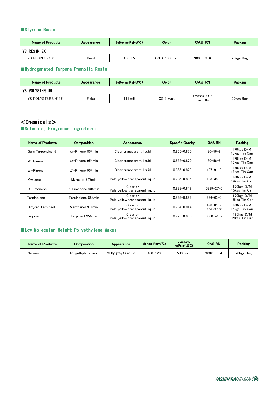# Styrene Resin

| <b>Name of Products</b> | Appearance | Color<br>Softening Point (°C) |               | <b>CAS RN</b>   | <b>Packing</b> |
|-------------------------|------------|-------------------------------|---------------|-----------------|----------------|
| <b>YS RESIN SX</b>      |            |                               |               |                 |                |
| YS RESIN SX100          | Bead       | $100\pm5$                     | APHA 100 max. | $9003 - 53 - 6$ | 20kgs Bag      |

#### Hydrogenated Terpene Phenolic Resin

| <b>Name of Products</b> | Appearance |       | Color     | <b>CAS RN</b>                   | <b>Packing</b> |
|-------------------------|------------|-------|-----------|---------------------------------|----------------|
| YS POLYSTER UH          |            |       |           |                                 |                |
| YS POLYSTER UH115       | Flake      | 115土5 | GS 2 max. | $1254557 - 84 - 0$<br>and other | 20kgs Bag      |

### $<$ Chemicals $>$ Solvents, Fragrance Ingredients

| Name of Products  | <b>Composition</b>       | Appearance                                 | <b>Specific Gravity</b> | <b>CAS RN</b>               | Packing                         |
|-------------------|--------------------------|--------------------------------------------|-------------------------|-----------------------------|---------------------------------|
| Gum Turpentine N  | $\alpha$ -Pinene 85% min | Clear transparent liquid                   | $0.855 - 0.870$         | $80 - 56 - 8$               | 170kgs D/M<br>15kgs Tin Can     |
| $\alpha$ -Pinene  | $\alpha$ -Pinene 95% min | Clear transparent liquid                   | $0.855 - 0.870$         | $80 - 56 - 8$               | 170kgs D/M<br>15kgs Tin Can     |
| $\beta$ -Pinene   | $\beta$ -Pinene 95% min  | Clear transparent liquid                   | $0.865 - 0.873$         | $127 - 91 - 3$              | 170kgs D/M<br>15kgs Tin Can     |
| Myrcene           | Myrcene 74%min           | Pale yellow transparent liquid             | $0.795 - 0.805$         | $123 - 35 - 3$              | 160kgs D/M<br>14kgs Tin Can     |
| D-Limonene        | d-Limonene 90%min        | Clear or<br>Pale yellow transparent liquid | $0.839 - 0.849$         | $5989 - 27 - 5$             | 170kgs D/M<br>15kgs Tin Can     |
| Terpinolene       | Terpinolene 88%min       | Clear or<br>Pale yellow transparent liquid | $0.855 - 0.865$         | $586 - 62 - 9$              | 170kgs D/M<br>15kgs Tin Can     |
| Dihydro Terpineol | Menthanol 97%min         | Clear or<br>Pale yellow transparent liquid | $0.904 - 0.914$         | $498 - 81 - 7$<br>and other | 180kgs D/M<br>15kgs Tin Can     |
| Terpineol         | Terpineol 95%min         | Clear or<br>Pale yellow transparent liquid | $0.925 - 0.950$         | $8000 - 41 - 7$             | 190 $k$ gs D/M<br>15kgs Tin Can |

#### Low Molecular Weight Polyethylene Waxes

| <b>Name of Products</b> | Composition      | Appearance          | Melting Point(°C) | <b>Viscosity</b><br>(mPa·s/125°C) | <b>CAS RN</b>   | Packing   |
|-------------------------|------------------|---------------------|-------------------|-----------------------------------|-----------------|-----------|
| Neowax                  | Polvethylene wax | Milky gray, Granule | 100-120           | 500 max.                          | $9002 - 88 - 4$ | 20kgs Bag |